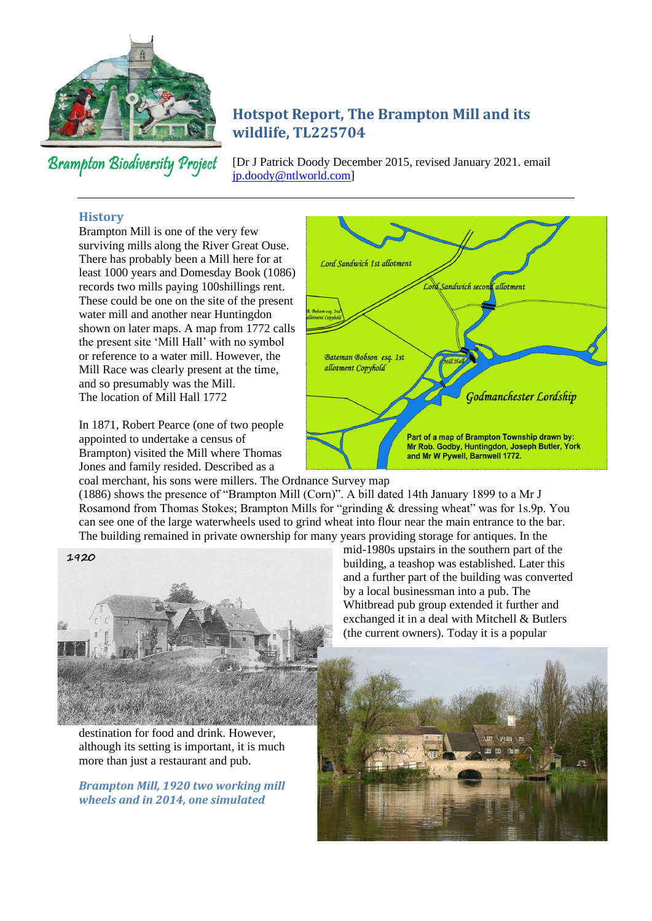

**Brampton Biodiversity Project** 

# **Hotspot Report, The Brampton Mill and its wildlife, TL225704**

[Dr J Patrick Doody December 2015, revised January 2021. email [jp.doody@ntlworld.com\]](mailto:jp.doody@ntlworld.com)

#### **History**

Brampton Mill is one of the very few surviving mills along the River Great Ouse. There has probably been a Mill here for at least 1000 years and Domesday Book (1086) records two mills paying 100shillings rent. These could be one on the site of the present water mill and another near Huntingdon shown on later maps. A map from 1772 calls the present site 'Mill Hall' with no symbol or reference to a water mill. However, the Mill Race was clearly present at the time, and so presumably was the Mill. The location of Mill Hall 1772

In 1871, Robert Pearce (one of two people appointed to undertake a census of Brampton) visited the Mill where Thomas Jones and family resided. Described as a



coal merchant, his sons were millers. The Ordnance Survey map (1886) shows the presence of "Brampton Mill (Corn)". A bill dated 14th January 1899 to a Mr J Rosamond from Thomas Stokes; Brampton Mills for "grinding & dressing wheat" was for 1s.9p. You can see one of the large waterwheels used to grind wheat into flour near the main entrance to the bar. The building remained in private ownership for many years providing storage for antiques. In the



destination for food and drink. However, although its setting is important, it is much more than just a restaurant and pub.

*Brampton Mill, 1920 two working mill wheels and in 2014, one simulated*

mid-1980s upstairs in the southern part of the building, a teashop was established. Later this and a further part of the building was converted by a local businessman into a pub. The Whitbread pub group extended it further and exchanged it in a deal with Mitchell & Butlers (the current owners). Today it is a popular

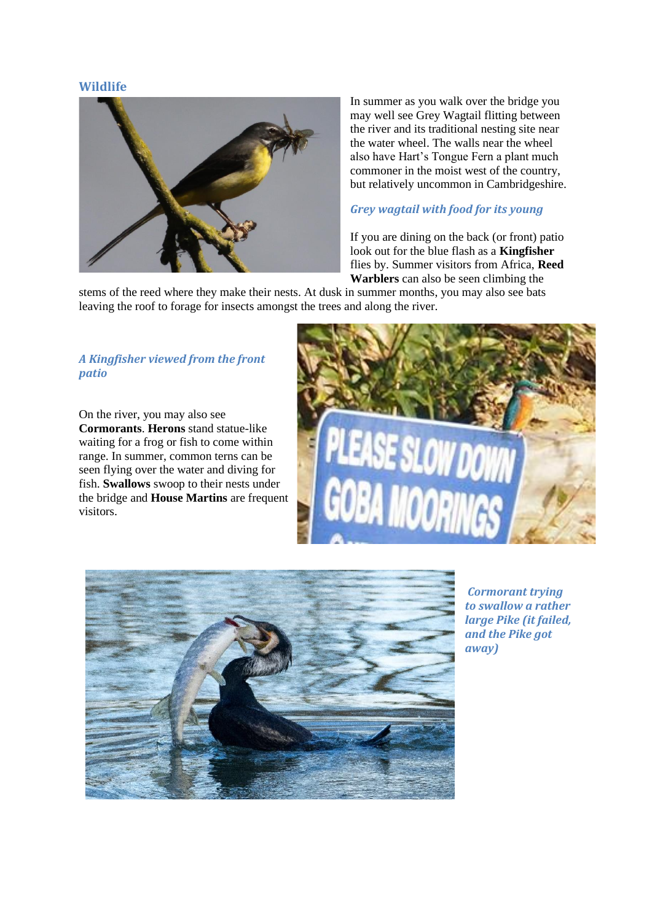#### **Wildlife**



In summer as you walk over the bridge you may well see Grey Wagtail flitting between the river and its traditional nesting site near the water wheel. The walls near the wheel also have Hart's Tongue Fern a plant much commoner in the moist west of the country, but relatively uncommon in Cambridgeshire.

## *Grey wagtail with food for its young*

If you are dining on the back (or front) patio look out for the blue flash as a **Kingfisher** flies by. Summer visitors from Africa, **Reed Warblers** can also be seen climbing the

stems of the reed where they make their nests. At dusk in summer months, you may also see bats leaving the roof to forage for insects amongst the trees and along the river.

### *A Kingfisher viewed from the front patio*

On the river, you may also see **Cormorants**. **Herons** stand statue-like waiting for a frog or fish to come within range. In summer, common terns can be seen flying over the water and diving for fish. **Swallows** swoop to their nests under the bridge and **House Martins** are frequent visitors.





*Cormorant trying to swallow a rather large Pike (it failed, and the Pike got away)*